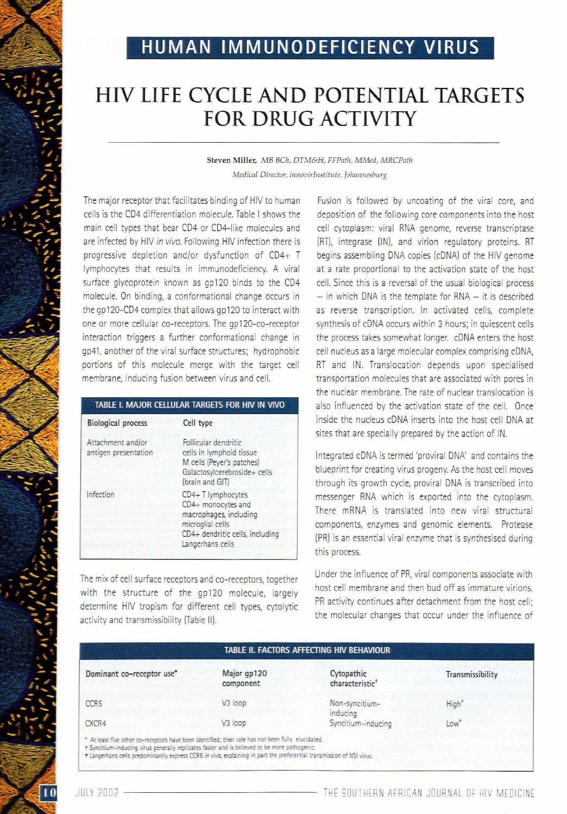## HUMAN IMMUNODEFICIENCY VIRUS

## HIV LIFE CYCLE AND POTENTIAl TARGETS FOR DRUG ACTIVITY

Steven Miller, *MB BCh, DTM&H, FFPath, MMed, MRCPath Medical Director, imlOVirIllstitllte, Johallnesburg*

The major receptor that facilitates binding of HIV to human cells is the CD4 differentiation molecule. Table I shows the main cell types that bear CD4 or CD4-like molecules and are infected by HIV *in vivo.* Following HIV infection there is progressive depletion and/or dysfunction of CD4+ T Iymphocytes that results in immunodeficiency. A viral surface glycoprotein known as gp120 binds to the CD4 molecule. On binding, a conformational change occurs in the gp120-CD4 complex that allows gp120 to interact with one or more cellular co-receptors. The gp120-co-receptor interaction triggers a further conformational change in gp41, another of the viral surface structures; hydrophobic portions of this molecule merge with the target cell membrane, inducing fusion between virus and cell.

| TABLE I. MAJOR CELLULAR TARGETS FOR HIV IN VIVO                                                                                                |  |  |
|------------------------------------------------------------------------------------------------------------------------------------------------|--|--|
| Cell type                                                                                                                                      |  |  |
| Follicular dendritic<br>cells in lymphoid tissue<br>M cells (Peyer's patches)<br>Galactosylcerebroside+ cells<br>(brain and GIT)               |  |  |
| $CD4+T$ lymphocytes<br>CD4+ monocytes and<br>macrophages, including<br>microglial cells<br>CD4+ dendritic cells, including<br>Langerhans cells |  |  |
|                                                                                                                                                |  |  |

The mix of cell surface receptors and co-receptors, together with the structure of the gp120 molecule, largely determine HIV tropism for different cell types, cytolytic activity and transmissibility (Table 11).

Fusion is followed by uncoating of the viral core, and deposition of the following core components into the host cell cytoplasm: viral RNA genome, reverse transcriptase (RT), integrase (IN), and virion regulatory proteins. RT begins assembling DNA copies (cDNA) of the HIV genome at a rate proportional to the activation state of the host cell. Since this is a reversal of the usual biological process  $-$  in which DNA is the template for RNA  $-$  it is described as reverse transcription. In activated cells, complete synthesis of cDNA occurs within 3 hours; in quiescent cells the process takes somewhat longer. cDNA enters the host cell nucleus as a large molecular complex comprising cDNA, RT and IN. Translocation depends upon specialised transportation molecules that are associated with pores in the nuclear membrane. The rate of nuclear translocation is also influenced by the activation state of the cell. Once inside the nucleus cDNA inserts into the host cell DNA at sites that are specially prepared by the action of IN.

Integrated cDNA is termed 'proviral DNA' and contains the blueprint for creating virus progeny. As the host cell moves through its growth cycle, proviral DNA is transcribed into messenger RNA which is exported into the cytoplasm. There mRNA is translated into new viral structural components, enzymes and genomic elements. Protease (PR) is an essential viral enzyme that is synthesised during this process.

Under the influence of PR, viral components associate with host cell membrane and then bud off as immature virions. PR activity continues after detachment from the host cell; the molecular changes that occur under the influence of

| TABLE II. FACTORS AFFECTING HIV BEHAVIOUR |                          |                                           |                   |  |  |
|-------------------------------------------|--------------------------|-------------------------------------------|-------------------|--|--|
| Dominant co-receptor use*                 | Major gp120<br>component | Cytopathic<br>characteristic <sup>+</sup> | Transmissibility  |  |  |
| CCR <sub>5</sub>                          | V3 loop                  | Non-syncitium-<br>inducing                | High <sup>*</sup> |  |  |
| CXCR4                                     | V3 loop                  | Syncitium-inducing                        | Low <sup>+</sup>  |  |  |

JULY <sup>2002</sup> ------------